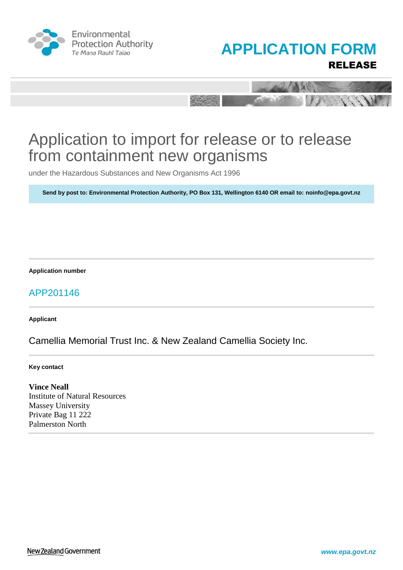





under the Hazardous Substances and New Organisms Act 1996

**Send by post to: Environmental Protection Authority, PO Box 131, Wellington 6140 OR email to: noinfo@epa.govt.nz**

**Application number**

## APP201146

**Applicant**

Camellia Memorial Trust Inc. & New Zealand Camellia Society Inc.

**Key contact**

**Vince Neall** Institute of Natural Resources Massey University Private Bag 11 222 Palmerston North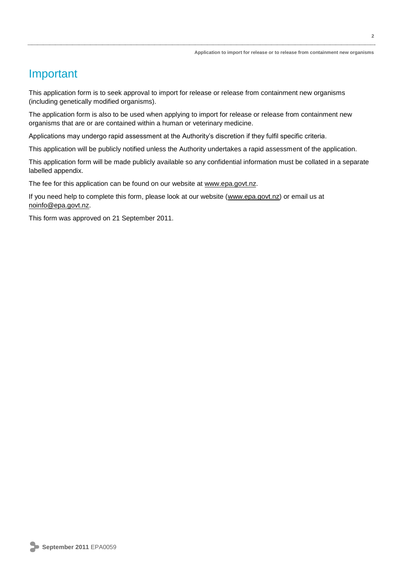## Important

This application form is to seek approval to import for release or release from containment new organisms (including genetically modified organisms).

The application form is also to be used when applying to import for release or release from containment new organisms that are or are contained within a human or veterinary medicine.

Applications may undergo rapid assessment at the Authority's discretion if they fulfil specific criteria.

This application will be publicly notified unless the Authority undertakes a rapid assessment of the application.

This application form will be made publicly available so any confidential information must be collated in a separate labelled appendix.

The fee for this application can be found on our website at [www.epa.govt.nz.](http://www.epa.govt.nz/)

If you need help to complete this form, please look at our website [\(www.epa.govt.nz\)](http://www.epa.govt.nz/) or email us at [noinfo@epa.govt.nz.](mailto:noinfo@epa.govt.nz)

This form was approved on 21 September 2011.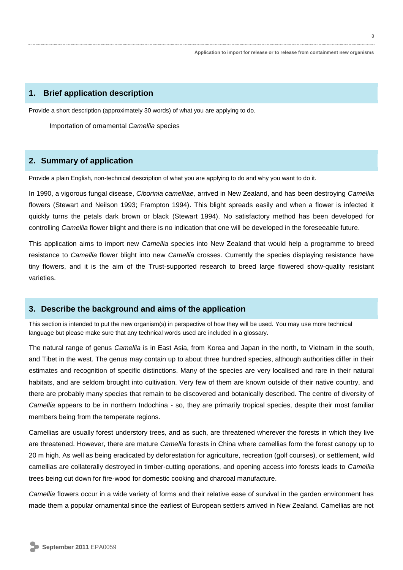## **1. Brief application description**

Provide a short description (approximately 30 words) of what you are applying to do.

Importation of ornamental *Camellia* species

## **2. Summary of application**

Provide a plain English, non-technical description of what you are applying to do and why you want to do it.

In 1990, a vigorous fungal disease, *Ciborinia camelliae,* arrived in New Zealand, and has been destroying *Camellia* flowers (Stewart and Neilson 1993; Frampton 1994). This blight spreads easily and when a flower is infected it quickly turns the petals dark brown or black (Stewart 1994). No satisfactory method has been developed for controlling *Camellia* flower blight and there is no indication that one will be developed in the foreseeable future.

This application aims to import new *Camellia* species into New Zealand that would help a programme to breed resistance to *Camellia* flower blight into new *Camellia* crosses. Currently the species displaying resistance have tiny flowers, and it is the aim of the Trust-supported research to breed large flowered show-quality resistant varieties.

## **3. Describe the background and aims of the application**

This section is intended to put the new organism(s) in perspective of how they will be used. You may use more technical language but please make sure that any technical words used are included in a glossary.

The natural range of genus *Camellia* is in East Asia, from Korea and Japan in the north, to Vietnam in the south, and Tibet in the west. The genus may contain up to about three hundred species, although authorities differ in their estimates and recognition of specific distinctions. Many of the species are very localised and rare in their natural habitats, and are seldom brought into cultivation. Very few of them are known outside of their native country, and there are probably many species that remain to be discovered and botanically described. The centre of diversity of *Camellia* appears to be in northern Indochina - so, they are primarily tropical species, despite their most familiar members being from the temperate regions.

Camellias are usually forest understory trees, and as such, are threatened wherever the forests in which they live are threatened. However, there are mature *Camellia* forests in China where camellias form the forest canopy up to 20 m high. As well as being eradicated by deforestation for agriculture, recreation (golf courses), or settlement, wild camellias are collaterally destroyed in timber-cutting operations, and opening access into forests leads to *Camellia* trees being cut down for fire-wood for domestic cooking and charcoal manufacture.

*Camellia* flowers occur in a wide variety of forms and their relative ease of survival in the garden environment has made them a popular ornamental since the earliest of European settlers arrived in New Zealand. Camellias are not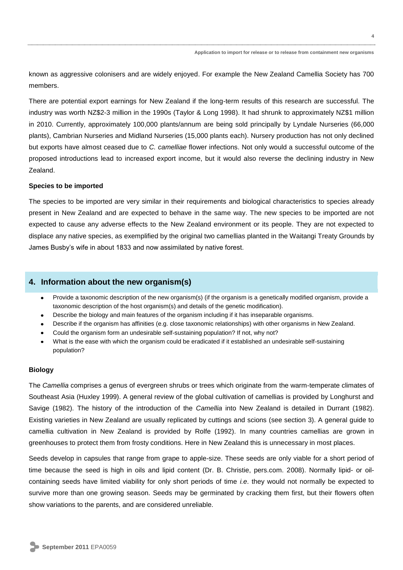known as aggressive colonisers and are widely enjoyed. For example the New Zealand Camellia Society has 700 members.

There are potential export earnings for New Zealand if the long-term results of this research are successful. The industry was worth NZ\$2-3 million in the 1990s (Taylor & Long 1998). It had shrunk to approximately NZ\$1 million in 2010. Currently, approximately 100,000 plants/annum are being sold principally by Lyndale Nurseries (66,000 plants), Cambrian Nurseries and Midland Nurseries (15,000 plants each). Nursery production has not only declined but exports have almost ceased due to *C. camelliae* flower infections. Not only would a successful outcome of the proposed introductions lead to increased export income, but it would also reverse the declining industry in New Zealand.

## **Species to be imported**

The species to be imported are very similar in their requirements and biological characteristics to species already present in New Zealand and are expected to behave in the same way. The new species to be imported are not expected to cause any adverse effects to the New Zealand environment or its people. They are not expected to displace any native species, as exemplified by the original two camellias planted in the Waitangi Treaty Grounds by James Busby's wife in about 1833 and now assimilated by native forest.

## **4. Information about the new organism(s)**

- Provide a taxonomic description of the new organism(s) (if the organism is a genetically modified organism, provide a taxonomic description of the host organism(s) and details of the genetic modification).
- Describe the biology and main features of the organism including if it has inseparable organisms.
- Describe if the organism has affinities (e.g. close taxonomic relationships) with other organisms in New Zealand.
- Could the organism form an undesirable self-sustaining population? If not, why not?
- What is the ease with which the organism could be eradicated if it established an undesirable self-sustaining population?

## **Biology**

The *Camellia* comprises a genus of evergreen shrubs or trees which originate from the warm-temperate climates of Southeast Asia (Huxley 1999). A general review of the global cultivation of camellias is provided by Longhurst and Savige (1982). The history of the introduction of the *Camellia* into New Zealand is detailed in Durrant (1982). Existing varieties in New Zealand are usually replicated by cuttings and scions (see section 3). A general guide to camellia cultivation in New Zealand is provided by Rolfe (1992). In many countries camellias are grown in greenhouses to protect them from frosty conditions. Here in New Zealand this is unnecessary in most places.

Seeds develop in capsules that range from grape to apple-size. These seeds are only viable for a short period of time because the seed is high in oils and lipid content (Dr. B. Christie, pers.com. 2008). Normally lipid- or oilcontaining seeds have limited viability for only short periods of time *i.e*. they would not normally be expected to survive more than one growing season. Seeds may be germinated by cracking them first, but their flowers often show variations to the parents, and are considered unreliable.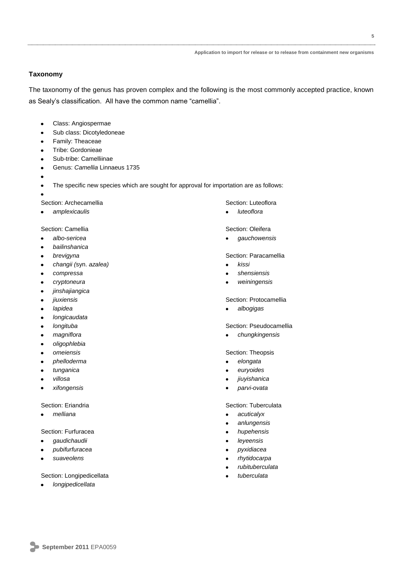## **Taxonomy**

The taxonomy of the genus has proven complex and the following is the most commonly accepted practice, known as Sealy's classification. All have the common name "camellia".

- Class: Angiospermae
- Sub class: Dicotyledoneae
- Family: Theaceae
- Tribe: Gordonieae
- Sub-tribe: Camelliinae
- Genus: *Camellia* Linnaeus 1735
- 

The specific new species which are sought for approval for importation are as follows:

Section: Archecamellia

*amplexicaulis*

Section: Camellia

- *albo-sericea*
- *bailinshanica*
- *brevigyna*
- *changii (*syn. *azalea)*
- *compressa*
- *cryptoneura*
- *jinshajiangica*
- *jiuxiensis*
- *lapidea*  $\bullet$
- *longicaudata*
- *longituba*
- *magniflora*
- *oligophlebia*
- *omeiensis*
- *phelloderma*
- *tunganica*
- *villosa*
- *xifongensis*

#### Section: Eriandria

*melliana*

## Section: Furfuracea

- *gaudichaudii*
- *pubifurfuracea*
- *suaveolens*

#### Section: Longipedicellata

*longipedicellata*

#### Section: Luteoflora

*luteoflora*  $\bullet$ 

#### Section: Oleifera

*gauchowensis*

#### Section: Paracamellia

- *kissi*  $\bullet$
- *shensiensis*
- *weiningensis*

#### Section: Protocamellia

*albogigas*

#### Section: Pseudocamellia

*chungkingensis*

## Section: Theopsis

- *elongata*  $\bullet$
- *euryoides*
- *jiuyishanica*
- *parvi-ovata*

#### Section: Tuberculata

- *acuticalyx*  $\bullet$
- *anlungensis*
- *hupehensis*
- *leyeensis*
- *pyxidiacea*
- *rhytidocarpa*
- *rubituberculata*
- *tuberculata*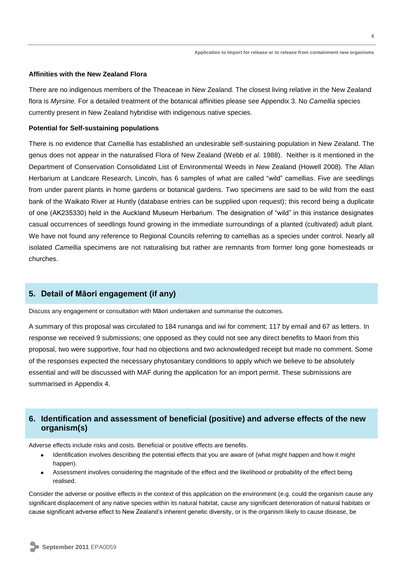#### **Affinities with the New Zealand Flora**

There are no indigenous members of the Theaceae in New Zealand. The closest living relative in the New Zealand flora is *Myrsine.* For a detailed treatment of the botanical affinities please see Appendix 3. No *Camellia* species currently present in New Zealand hybridise with indigenous native species.

#### **Potential for Self-sustaining populations**

There is no evidence that *Camellia* has established an undesirable self-sustaining population in New Zealand. The genus does not appear in the naturalised Flora of New Zealand (Webb *et al*. 1988). Neither is it mentioned in the Department of Conservation Consolidated List of Environmental Weeds in New Zealand (Howell 2008). The Allan Herbarium at Landcare Research, Lincoln, has 6 samples of what are called "wild" camellias. Five are seedlings from under parent plants in home gardens or botanical gardens. Two specimens are said to be wild from the east bank of the Waikato River at Huntly (database entries can be supplied upon request); this record being a duplicate of one (AK235330) held in the Auckland Museum Herbarium. The designation of "wild" in this instance designates casual occurrences of seedlings found growing in the immediate surroundings of a planted (cultivated) adult plant. We have not found any reference to Regional Councils referring to camellias as a species under control. Nearly all isolated *Camellia* specimens are not naturalising but rather are remnants from former long gone homesteads or churches.

## **5. Detail of Māori engagement (if any)**

Discuss any engagement or consultation with Māori undertaken and summarise the outcomes.

A summary of this proposal was circulated to 184 runanga and iwi for comment; 117 by email and 67 as letters. In response we received 9 submissions; one opposed as they could not see any direct benefits to Maori from this proposal, two were supportive, four had no objections and two acknowledged receipt but made no comment. Some of the responses expected the necessary phytosanitary conditions to apply which we believe to be absolutely essential and will be discussed with MAF during the application for an import permit. These submissions are summarised in Appendix 4.

## **6. Identification and assessment of beneficial (positive) and adverse effects of the new organism(s)**

Adverse effects include risks and costs. Beneficial or positive effects are benefits.

- Identification involves describing the potential effects that you are aware of (what might happen and how it might happen).
- Assessment involves considering the magnitude of the effect and the likelihood or probability of the effect being realised.

Consider the adverse or positive effects in the context of this application on the environment (e.g. could the organism cause any significant displacement of any native species within its natural habitat, cause any significant deterioration of natural habitats or cause significant adverse effect to New Zealand's inherent genetic diversity, or is the organism likely to cause disease, be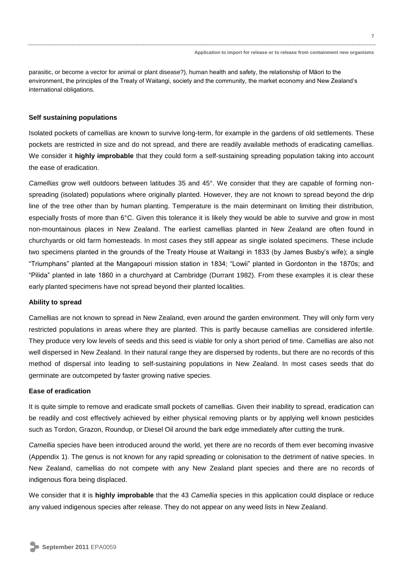parasitic, or become a vector for animal or plant disease?), human health and safety, the relationship of Māori to the environment, the principles of the Treaty of Waitangi, society and the community, the market economy and New Zealand's international obligations.

## **Self sustaining populations**

Isolated pockets of camellias are known to survive long-term, for example in the gardens of old settlements. These pockets are restricted in size and do not spread, and there are readily available methods of eradicating camellias. We consider it **highly improbable** that they could form a self-sustaining spreading population taking into account the ease of eradication.

*Camellias* grow well outdoors between latitudes 35 and 45°. We consider that they are capable of forming nonspreading (isolated) populations where originally planted. However, they are not known to spread beyond the drip line of the tree other than by human planting. Temperature is the main determinant on limiting their distribution, especially frosts of more than 6°C. Given this tolerance it is likely they would be able to survive and grow in most non-mountainous places in New Zealand. The earliest camellias planted in New Zealand are often found in churchyards or old farm homesteads. In most cases they still appear as single isolated specimens. These include two specimens planted in the grounds of the Treaty House at Waitangi in 1833 (by James Busby's wife); a single "Triumphans" planted at the Mangapouri mission station in 1834; "Lowii" planted in Gordonton in the 1870s; and "Pilida" planted in late 1860 in a churchyard at Cambridge (Durrant 1982). From these examples it is clear these early planted specimens have not spread beyond their planted localities.

## **Ability to spread**

Camellias are not known to spread in New Zealand, even around the garden environment. They will only form very restricted populations in areas where they are planted. This is partly because camellias are considered infertile. They produce very low levels of seeds and this seed is viable for only a short period of time. Camellias are also not well dispersed in New Zealand. In their natural range they are dispersed by rodents, but there are no records of this method of dispersal into leading to self-sustaining populations in New Zealand. In most cases seeds that do germinate are outcompeted by faster growing native species.

## **Ease of eradication**

It is quite simple to remove and eradicate small pockets of camellias. Given their inability to spread, eradication can be readily and cost effectively achieved by either physical removing plants or by applying well known pesticides such as Tordon, Grazon, Roundup, or Diesel Oil around the bark edge immediately after cutting the trunk.

*Camellia* species have been introduced around the world, yet there are no records of them ever becoming invasive (Appendix 1). The genus is not known for any rapid spreading or colonisation to the detriment of native species. In New Zealand, camellias do not compete with any New Zealand plant species and there are no records of indigenous flora being displaced.

We consider that it is **highly improbable** that the 43 *Camellia* species in this application could displace or reduce any valued indigenous species after release. They do not appear on any weed lists in New Zealand.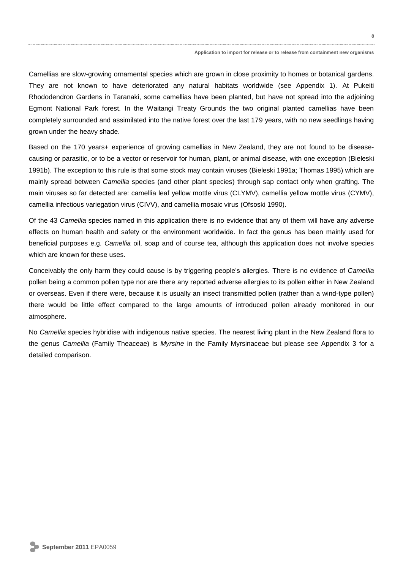Camellias are slow-growing ornamental species which are grown in close proximity to homes or botanical gardens. They are not known to have deteriorated any natural habitats worldwide (see Appendix 1). At Pukeiti Rhododendron Gardens in Taranaki, some camellias have been planted, but have not spread into the adjoining Egmont National Park forest. In the Waitangi Treaty Grounds the two original planted camellias have been completely surrounded and assimilated into the native forest over the last 179 years, with no new seedlings having grown under the heavy shade.

Based on the 170 years+ experience of growing camellias in New Zealand, they are not found to be diseasecausing or parasitic, or to be a vector or reservoir for human, plant, or animal disease, with one exception (Bieleski 1991b). The exception to this rule is that some stock may contain viruses (Bieleski 1991a; Thomas 1995) which are mainly spread between *Camellia* species (and other plant species) through sap contact only when grafting. The main viruses so far detected are: camellia leaf yellow mottle virus (CLYMV), camellia yellow mottle virus (CYMV), camellia infectious variegation virus (CIVV), and camellia mosaic virus (Ofsoski 1990).

Of the 43 *Camellia* species named in this application there is no evidence that any of them will have any adverse effects on human health and safety or the environment worldwide. In fact the genus has been mainly used for beneficial purposes e.g. *Camellia* oil, soap and of course tea, although this application does not involve species which are known for these uses.

Conceivably the only harm they could cause is by triggering people's allergies. There is no evidence of *Camellia* pollen being a common pollen type nor are there any reported adverse allergies to its pollen either in New Zealand or overseas. Even if there were, because it is usually an insect transmitted pollen (rather than a wind-type pollen) there would be little effect compared to the large amounts of introduced pollen already monitored in our atmosphere.

No *Camellia* species hybridise with indigenous native species. The nearest living plant in the New Zealand flora to the genus *Camellia* (Family Theaceae) is *Myrsine* in the Family Myrsinaceae but please see Appendix 3 for a detailed comparison.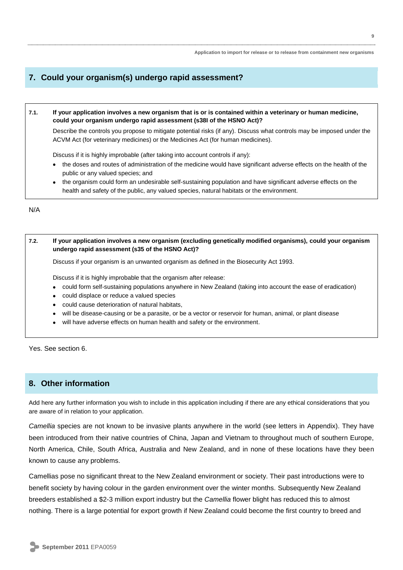## **7. Could your organism(s) undergo rapid assessment?**

## **7.1. If your application involves a new organism that is or is contained within a veterinary or human medicine, could your organism undergo rapid assessment (s38I of the HSNO Act)?**

Describe the controls you propose to mitigate potential risks (if any). Discuss what controls may be imposed under the ACVM Act (for veterinary medicines) or the Medicines Act (for human medicines).

Discuss if it is highly improbable (after taking into account controls if any):

- the doses and routes of administration of the medicine would have significant adverse effects on the health of the public or any valued species; and
- the organism could form an undesirable self-sustaining population and have significant adverse effects on the health and safety of the public, any valued species, natural habitats or the environment.

N/A

## **7.2. If your application involves a new organism (excluding genetically modified organisms), could your organism undergo rapid assessment (s35 of the HSNO Act)?**

Discuss if your organism is an unwanted organism as defined in the Biosecurity Act 1993.

Discuss if it is highly improbable that the organism after release:

- could form self-sustaining populations anywhere in New Zealand (taking into account the ease of eradication)
- could displace or reduce a valued species
- could cause deterioration of natural habitats,
- will be disease-causing or be a parasite, or be a vector or reservoir for human, animal, or plant disease
- will have adverse effects on human health and safety or the environment.

Yes. See section 6.

## **8. Other information**

Add here any further information you wish to include in this application including if there are any ethical considerations that you are aware of in relation to your application.

*Camellia* species are not known to be invasive plants anywhere in the world (see letters in Appendix). They have been introduced from their native countries of China, Japan and Vietnam to throughout much of southern Europe, North America, Chile, South Africa, Australia and New Zealand, and in none of these locations have they been known to cause any problems.

Camellias pose no significant threat to the New Zealand environment or society. Their past introductions were to benefit society by having colour in the garden environment over the winter months. Subsequently New Zealand breeders established a \$2-3 million export industry but the *Camellia* flower blight has reduced this to almost nothing. There is a large potential for export growth if New Zealand could become the first country to breed and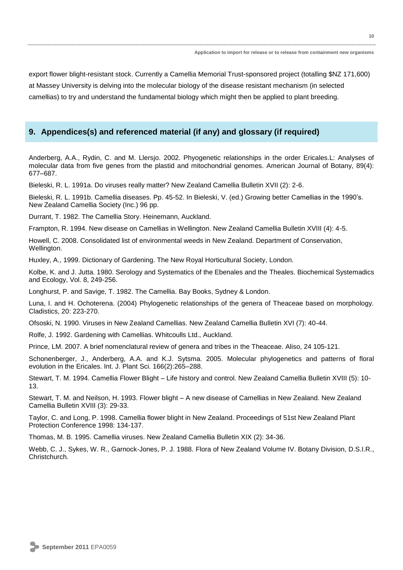export flower blight-resistant stock. Currently a Camellia Memorial Trust-sponsored project (totalling \$NZ 171,600) at Massey University is delving into the molecular biology of the disease resistant mechanism (in selected camellias) to try and understand the fundamental biology which might then be applied to plant breeding.

## **9. Appendices(s) and referenced material (if any) and glossary (if required)**

Anderberg, A.A., Rydin, C. and M. Llersjo. 2002. Phyogenetic relationships in the order Ericales.L: Analyses of molecular data from five genes from the plastid and mitochondrial genomes. American Journal of Botany, 89(4): 677–687.

Bieleski, R. L. 1991a. Do viruses really matter? New Zealand Camellia Bulletin XVII (2): 2-6.

Bieleski, R. L. 1991b. Camellia diseases. Pp. 45-52. In Bieleski, V. (ed.) Growing better Camellias in the 1990's. New Zealand Camellia Society (Inc.) 96 pp.

Durrant, T. 1982. The Camellia Story. Heinemann, Auckland.

Frampton, R. 1994. New disease on Camellias in Wellington. New Zealand Camellia Bulletin XVIII (4): 4-5.

Howell, C. 2008. Consolidated list of environmental weeds in New Zealand. Department of Conservation, Wellington.

Huxley, A., 1999. Dictionary of Gardening. The New Royal Horticultural Society, London.

Kolbe, K. and J. Jutta. 1980. Serology and Systematics of the Ebenales and the Theales. Biochemical Systemadics and Ecology, Vol. 8, 249-256.

Longhurst, P. and Savige, T. 1982. The Camellia. Bay Books, Sydney & London.

Luna, I. and H. Ochoterena. (2004) Phylogenetic relationships of the genera of Theaceae based on morphology. Cladistics, 20: 223-270.

Ofsoski, N. 1990. Viruses in New Zealand Camellias. New Zealand Camellia Bulletin XVI (7): 40-44.

Rolfe, J. 1992. Gardening with Camellias. Whitcoulls Ltd., Auckland.

Prince, LM. 2007. A brief nomenclatural review of genera and tribes in the Theaceae. Aliso, 24 105-121.

Schonenberger, J., Anderberg, A.A. and K.J. Sytsma. 2005. Molecular phylogenetics and patterns of floral evolution in the Ericales. Int. J. Plant Sci. 166(2):265–288.

Stewart, T. M. 1994. Camellia Flower Blight – Life history and control. New Zealand Camellia Bulletin XVIII (5): 10- 13.

Stewart, T. M. and Neilson, H. 1993. Flower blight – A new disease of Camellias in New Zealand. New Zealand Camellia Bulletin XVIII (3): 29-33.

Taylor, C. and Long, P. 1998. Camellia flower blight in New Zealand. Proceedings of 51st New Zealand Plant Protection Conference 1998: 134-137.

Thomas, M. B. 1995. Camellia viruses. New Zealand Camellia Bulletin XIX (2): 34-36.

Webb, C. J., Sykes, W. R., Garnock-Jones, P. J. 1988. Flora of New Zealand Volume IV. Botany Division, D.S.I.R., Christchurch.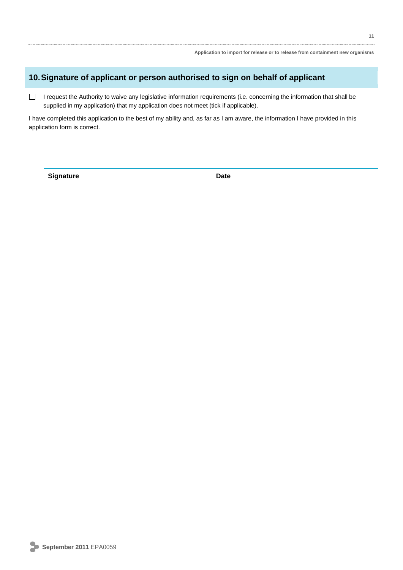## **10.Signature of applicant or person authorised to sign on behalf of applicant**

 $\Box$ I request the Authority to waive any legislative information requirements (i.e. concerning the information that shall be supplied in my application) that my application does not meet (tick if applicable).

I have completed this application to the best of my ability and, as far as I am aware, the information I have provided in this application form is correct.

**Signature Date**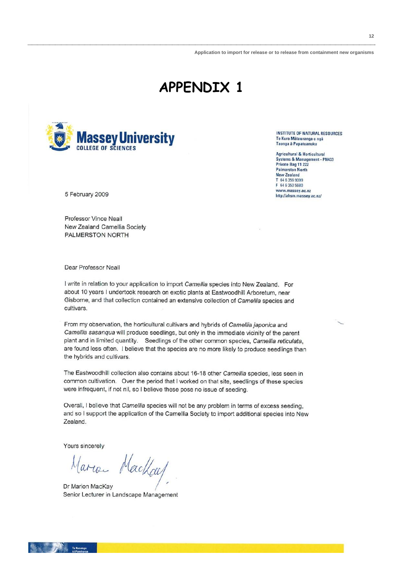# **APPENDIX 1**



5 February 2009

**Professor Vince Neall** New Zealand Camellia Society PALMERSTON NORTH

Dear Professor Neall

I write in relation to your application to import Camellia species into New Zealand. For about 10 years I undertook research on exotic plants at Eastwoodhill Arboretum, near Gisborne, and that collection contained an extensive collection of Camellia species and cultivars.

From my observation, the horticultural cultivars and hybrids of Camellia japonica and Camellia sasangua will produce seedlings, but only in the immediate vicinity of the parent plant and in limited quantity. Seedlings of the other common species, Camellia reticulata, are found less often. I believe that the species are no more likely to produce seedlings than the hybrids and cultivars.

The Eastwoodhill collection also contains about 16-18 other Camellia species, less seen in common cultivation. Over the period that I worked on that site, seedlings of these species were infrequent, if not nil, so I believe these pose no issue of seeding.

Overall, I believe that Camellia species will not be any problem in terms of excess seeding. and so I support the application of the Camellia Society to import additional species into New Zealand.

Yours sincerely

Maria MacKay

Dr Marion MacKay Senior Lecturer in Landscape Management

**INSTITUTE OF NATURAL RESOURCES** Te Kura Mātauranga o ngā Taonga à Papatuanuku

**Agricultural & Horticultural** Systems & Management - PN433 Private Bag 11 222 **Palmerston North New Zealand F 64 6 356 9099** F 64 6 350 5680 www.massey.ac.nz http://ahsm.massey.ac.nz/

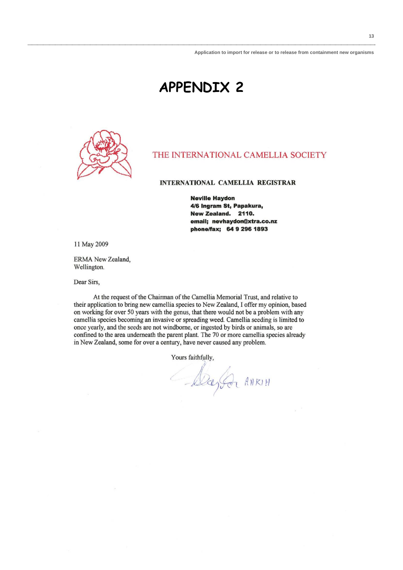## **APPENDIX 2**



## THE INTERNATIONAL CAMELLIA SOCIETY

#### INTERNATIONAL CAMELLIA REGISTRAR

**Neville Havdon** 4/6 Ingram St, Papakura, New Zealand. 2110. email: nevhavdon@xtra.co.nz phone/fax; 64 9 296 1893

11 May 2009

ERMA New Zealand, Wellington.

Dear Sirs,

At the request of the Chairman of the Camellia Memorial Trust, and relative to their application to bring new camellia species to New Zealand, I offer my opinion, based on working for over 50 years with the genus, that there would not be a problem with any camellia species becoming an invasive or spreading weed. Camellia seeding is limited to once yearly, and the seeds are not windborne, or ingested by birds or animals, so are confined to the area underneath the parent plant. The 70 or more camellia species already in New Zealand, some for over a century, have never caused any problem.

Yours faithfully,

Degla ANRIH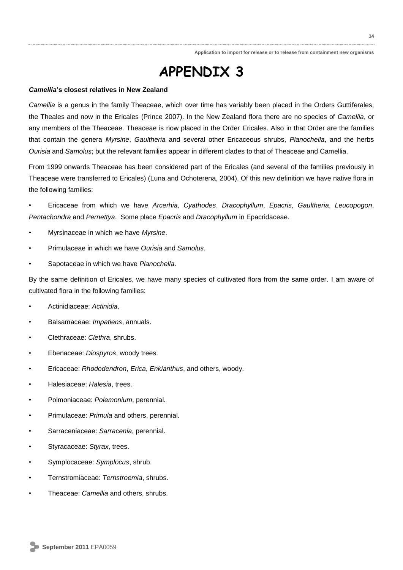## **APPENDIX 3**

## *Camellia***'s closest relatives in New Zealand**

*Camellia* is a genus in the family Theaceae, which over time has variably been placed in the Orders Guttiferales, the Theales and now in the Ericales (Prince 2007). In the New Zealand flora there are no species of *Camellia*, or any members of the Theaceae. Theaceae is now placed in the Order Ericales. Also in that Order are the families that contain the genera *Myrsine*, *Gaultheria* and several other Ericaceous shrubs, *Planochella*, and the herbs *Ourisia* and *Samolus*; but the relevant families appear in different clades to that of Theaceae and Camellia.

From 1999 onwards Theaceae has been considered part of the Ericales (and several of the families previously in Theaceae were transferred to Ericales) (Luna and Ochoterena, 2004). Of this new definition we have native flora in the following families:

• Ericaceae from which we have *Arcerhia*, *Cyathodes*, *Dracophyllum*, *Epacris*, *Gaultheria*, *Leucopogon*, *Pentachondra* and *Pernettya*. Some place *Epacris* and *Dracophyllum* in Epacridaceae.

- Myrsinaceae in which we have *Myrsine*.
- Primulaceae in which we have *Ourisia* and *Samolus*.
- Sapotaceae in which we have *Planochella*.

By the same definition of Ericales, we have many species of cultivated flora from the same order. I am aware of cultivated flora in the following families:

- Actinidiaceae: *Actinidia*.
- Balsamaceae: *Impatiens*, annuals.
- Clethraceae: *Clethra*, shrubs.
- Ebenaceae: *Diospyros*, woody trees.
- Ericaceae: *Rhododendron*, *Erica*, *Enkianthus*, and others, woody.
- Halesiaceae: *Halesia*, trees.
- Polmoniaceae: *Polemonium*, perennial.
- Primulaceae: *Primula* and others, perennial.
- Sarraceniaceae: *Sarracenia*, perennial.
- Styracaceae: *Styrax*, trees.
- Symplocaceae: *Symplocus*, shrub.
- Ternstromiaceae: *Ternstroemia*, shrubs.
- Theaceae: *Camellia* and others, shrubs.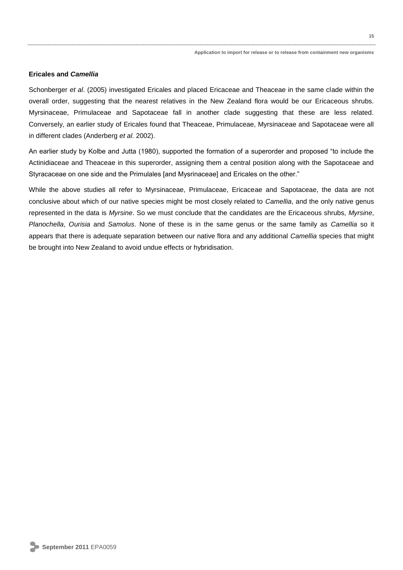## **Ericales and** *Camellia*

Schonberger *et al*. (2005) investigated Ericales and placed Ericaceae and Theaceae in the same clade within the overall order, suggesting that the nearest relatives in the New Zealand flora would be our Ericaceous shrubs. Myrsinaceae, Primulaceae and Sapotaceae fall in another clade suggesting that these are less related. Conversely, an earlier study of Ericales found that Theaceae, Primulaceae, Myrsinaceae and Sapotaceae were all in different clades (Anderberg *et al*. 2002).

An earlier study by Kolbe and Jutta (1980), supported the formation of a superorder and proposed "to include the Actinidiaceae and Theaceae in this superorder, assigning them a central position along with the Sapotaceae and Styracaceae on one side and the Primulales [and Mysrinaceae] and Ericales on the other."

While the above studies all refer to Myrsinaceae, Primulaceae, Ericaceae and Sapotaceae, the data are not conclusive about which of our native species might be most closely related to *Camellia*, and the only native genus represented in the data is *Myrsine*. So we must conclude that the candidates are the Ericaceous shrubs, *Myrsine*, *Planochella*, *Ourisia* and *Samolus*. None of these is in the same genus or the same family as *Camellia* so it appears that there is adequate separation between our native flora and any additional *Camellia* species that might be brought into New Zealand to avoid undue effects or hybridisation.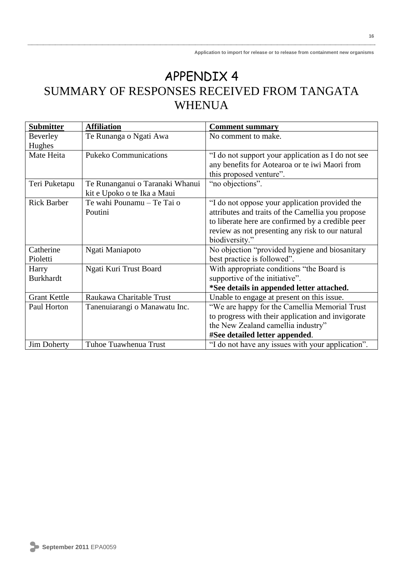**16**

## APPENDIX 4 SUMMARY OF RESPONSES RECEIVED FROM TANGATA WHENUA

| <b>Submitter</b>    | <b>Affiliation</b>              | <b>Comment summary</b>                             |
|---------------------|---------------------------------|----------------------------------------------------|
| Beverley            | Te Runanga o Ngati Awa          | No comment to make.                                |
| Hughes              |                                 |                                                    |
| Mate Heita          | <b>Pukeko Communications</b>    | "I do not support your application as I do not see |
|                     |                                 | any benefits for Aotearoa or te iwi Maori from     |
|                     |                                 | this proposed venture".                            |
| Teri Puketapu       | Te Runanganui o Taranaki Whanui | "no objections".                                   |
|                     | kit e Upoko o te Ika a Maui     |                                                    |
| <b>Rick Barber</b>  | Te wahi Pounamu - Te Tai o      | "I do not oppose your application provided the     |
|                     | Poutini                         | attributes and traits of the Camellia you propose  |
|                     |                                 | to liberate here are confirmed by a credible peer  |
|                     |                                 | review as not presenting any risk to our natural   |
|                     |                                 | biodiversity."                                     |
| Catherine           | Ngati Maniapoto                 | No objection "provided hygiene and biosanitary     |
| Pioletti            |                                 | best practice is followed".                        |
| Harry               | Ngati Kuri Trust Board          | With appropriate conditions "the Board is          |
| <b>Burkhardt</b>    |                                 | supportive of the initiative".                     |
|                     |                                 | *See details in appended letter attached.          |
| <b>Grant Kettle</b> | Raukawa Charitable Trust        | Unable to engage at present on this issue.         |
| Paul Horton         | Tanenuiarangi o Manawatu Inc.   | "We are happy for the Camellia Memorial Trust      |
|                     |                                 | to progress with their application and invigorate  |
|                     |                                 | the New Zealand camellia industry"                 |
|                     |                                 | #See detailed letter appended.                     |
| <b>Jim Doherty</b>  | Tuhoe Tuawhenua Trust           | "I do not have any issues with your application".  |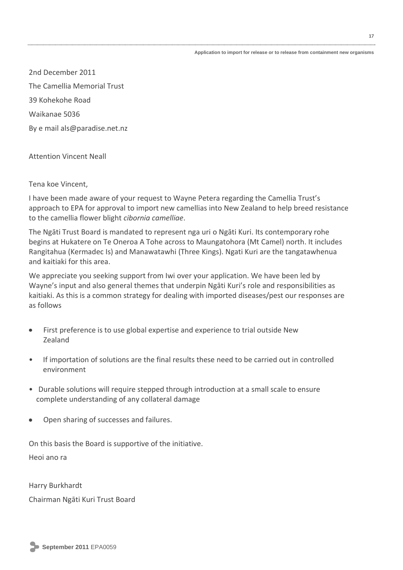**17**

2nd December 2011 The Camellia Memorial Trust 39 Kohekohe Road Waikanae 5036 By e mail als@paradise.net.nz

Attention Vincent Neall

Tena koe Vincent,

I have been made aware of your request to Wayne Petera regarding the Camellia Trust's approach to EPA for approval to import new camellias into New Zealand to help breed resistance to the camellia flower blight *cibornia camelliae*.

The Ngāti Trust Board is mandated to represent nga uri o Ngāti Kuri. Its contemporary rohe begins at Hukatere on Te Oneroa A Tohe across to Maungatohora (Mt Camel) north. It includes Rangitahua (Kermadec Is) and Manawatawhi (Three Kings). Ngati Kuri are the tangatawhenua and kaitiaki for this area.

We appreciate you seeking support from Iwi over your application. We have been led by Wayne's input and also general themes that underpin Ngāti Kuri's role and responsibilities as kaitiaki. As this is a common strategy for dealing with imported diseases/pest our responses are as follows

- First preference is to use global expertise and experience to trial outside New  $\bullet$ Zealand
- If importation of solutions are the final results these need to be carried out in controlled environment
- Durable solutions will require stepped through introduction at a small scale to ensure complete understanding of any collateral damage
- Open sharing of successes and failures.

On this basis the Board is supportive of the initiative.

Heoi ano ra

Harry Burkhardt Chairman Ngāti Kuri Trust Board